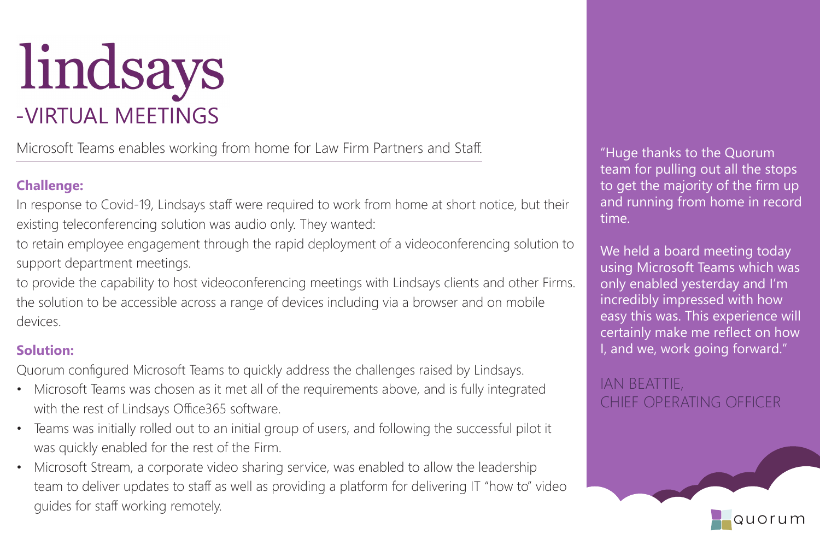

Microsoft Teams enables working from home for Law Firm Partners and Staff.

## **Challenge:**

In response to Covid-19, Lindsays staff were required to work from home at short notice, but their existing teleconferencing solution was audio only. They wanted:

to retain employee engagement through the rapid deployment of a videoconferencing solution to support department meetings.

to provide the capability to host videoconferencing meetings with Lindsays clients and other Firms. the solution to be accessible across a range of devices including via a browser and on mobile devices.

## **Solution:**

Quorum configured Microsoft Teams to quickly address the challenges raised by Lindsays.

- Microsoft Teams was chosen as it met all of the requirements above, and is fully integrated with the rest of Lindsays Office365 software.
- Teams was initially rolled out to an initial group of users, and following the successful pilot it was quickly enabled for the rest of the Firm.
- Microsoft Stream, a corporate video sharing service, was enabled to allow the leadership team to deliver updates to staff as well as providing a platform for delivering IT "how to" video guides for staff working remotely.

"Huge thanks to the Quorum team for pulling out all the stops to get the majority of the firm up and running from home in record time.

We held a board meeting today using Microsoft Teams which was only enabled yesterday and I'm incredibly impressed with how easy this was. This experience will certainly make me reflect on how I, and we, work going forward."

IAN BEATTIE, CHIEF OPERATING OFFICER